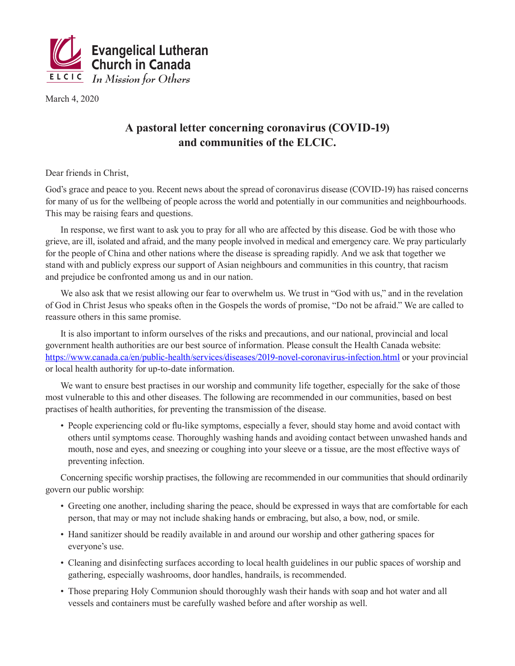

March 4, 2020

## **A pastoral letter concerning coronavirus (COVID-19) and communities of the ELCIC.**

Dear friends in Christ,

God's grace and peace to you. Recent news about the spread of coronavirus disease (COVID-19) has raised concerns for many of us for the wellbeing of people across the world and potentially in our communities and neighbourhoods. This may be raising fears and questions.

In response, we first want to ask you to pray for all who are affected by this disease. God be with those who grieve, are ill, isolated and afraid, and the many people involved in medical and emergency care. We pray particularly for the people of China and other nations where the disease is spreading rapidly. And we ask that together we stand with and publicly express our support of Asian neighbours and communities in this country, that racism and prejudice be confronted among us and in our nation.

We also ask that we resist allowing our fear to overwhelm us. We trust in "God with us," and in the revelation of God in Christ Jesus who speaks often in the Gospels the words of promise, "Do not be afraid." We are called to reassure others in this same promise.

It is also important to inform ourselves of the risks and precautions, and our national, provincial and local government health authorities are our best source of information. Please consult the Health Canada website: https://www.canada.ca/en/public-health/services/diseases/2019-novel-coronavirus-infection.html or your provincial or local health authority for up-to-date information.

We want to ensure best practises in our worship and community life together, especially for the sake of those most vulnerable to this and other diseases. The following are recommended in our communities, based on best practises of health authorities, for preventing the transmission of the disease.

• People experiencing cold or flu-like symptoms, especially a fever, should stay home and avoid contact with others until symptoms cease. Thoroughly washing hands and avoiding contact between unwashed hands and mouth, nose and eyes, and sneezing or coughing into your sleeve or a tissue, are the most effective ways of preventing infection.

Concerning specific worship practises, the following are recommended in our communities that should ordinarily govern our public worship:

- Greeting one another, including sharing the peace, should be expressed in ways that are comfortable for each person, that may or may not include shaking hands or embracing, but also, a bow, nod, or smile.
- Hand sanitizer should be readily available in and around our worship and other gathering spaces for everyone's use.
- Cleaning and disinfecting surfaces according to local health guidelines in our public spaces of worship and gathering, especially washrooms, door handles, handrails, is recommended.
- Those preparing Holy Communion should thoroughly wash their hands with soap and hot water and all vessels and containers must be carefully washed before and after worship as well.